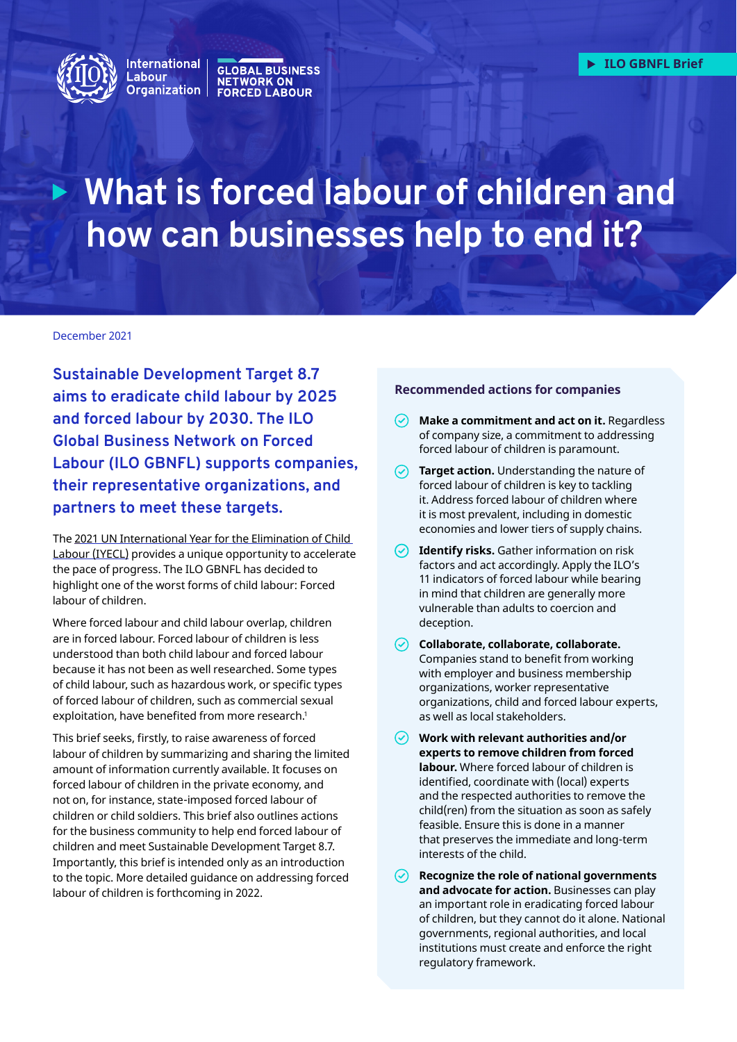<span id="page-0-0"></span>

### Witchildrich GLOBAL BUSINESS<br>Labour **of children and how can business**<br>Organization FORCED LABOUR **Organization**

# **What is forced labour of children and how can businesses help to end it?**

#### December 2021

**Sustainable Development Target 8.7 aims to eradicate child labour by 2025 and forced labour by 2030. The [ILO](https://flbusiness.network/)  [Global Business Network on Forced](https://flbusiness.network/)  [Labour](https://flbusiness.network/) (ILO GBNFL) supports companies, their representative organizations, and partners to meet these targets.** 

The [2021 UN International Year for the Elimination of Child](https://endchildlabour2021.org)  [Labour \(IYECL\)](https://endchildlabour2021.org) provides a unique opportunity to accelerate the pace of progress. The ILO GBNFL has decided to highlight one of the worst forms of child labour: Forced labour of children.

Where forced labour and child labour overlap, children are in forced labour. Forced labour of children is less understood than both child labour and forced labour because it has not been as well researched. Some types of child labour, such as hazardous work, or specific types of forced labour of children, such as commercial sexual exploitation, have benefited from more research.<sup>1</sup>

This brief seeks, firstly, to raise awareness of forced labour of children by summarizing and sharing the limited amount of information currently available. It focuses on forced labour of children in the private economy, and not on, for instance, state-imposed forced labour of children or child soldiers. This brief also outlines actions for the business community to help end forced labour of children and meet Sustainable Development Target 8.7. Importantly, this brief is intended only as an introduction to the topic. More detailed guidance on addressing forced labour of children is forthcoming in 2022.

#### **Recommended actions for companies**

- $\odot$ **Make a commitment and act on it.** Regardless of company size, a commitment to addressing forced labour of children is paramount.
- **Target action.** Understanding the nature of forced labour of children is key to tackling it. Address forced labour of children where it is most prevalent, including in domestic economies and lower tiers of supply chains.
- **Identify risks.** Gather information on risk factors and act accordingly. Apply the ILO's 11 indicators of forced labour while bearing in mind that children are generally more vulnerable than adults to coercion and deception.
- **Collaborate, collaborate, collaborate.**  Companies stand to benefit from working with employer and business membership organizations, worker representative organizations, child and forced labour experts, as well as local stakeholders.
- **Work with relevant authorities and/or experts to remove children from forced labour.** Where forced labour of children is identified, coordinate with (local) experts and the respected authorities to remove the child(ren) from the situation as soon as safely feasible. Ensure this is done in a manner that preserves the immediate and long-term interests of the child.
- **Recognize the role of national governments and advocate for action.** Businesses can play an important role in eradicating forced labour of children, but they cannot do it alone. National governments, regional authorities, and local institutions must create and enforce the right regulatory framework.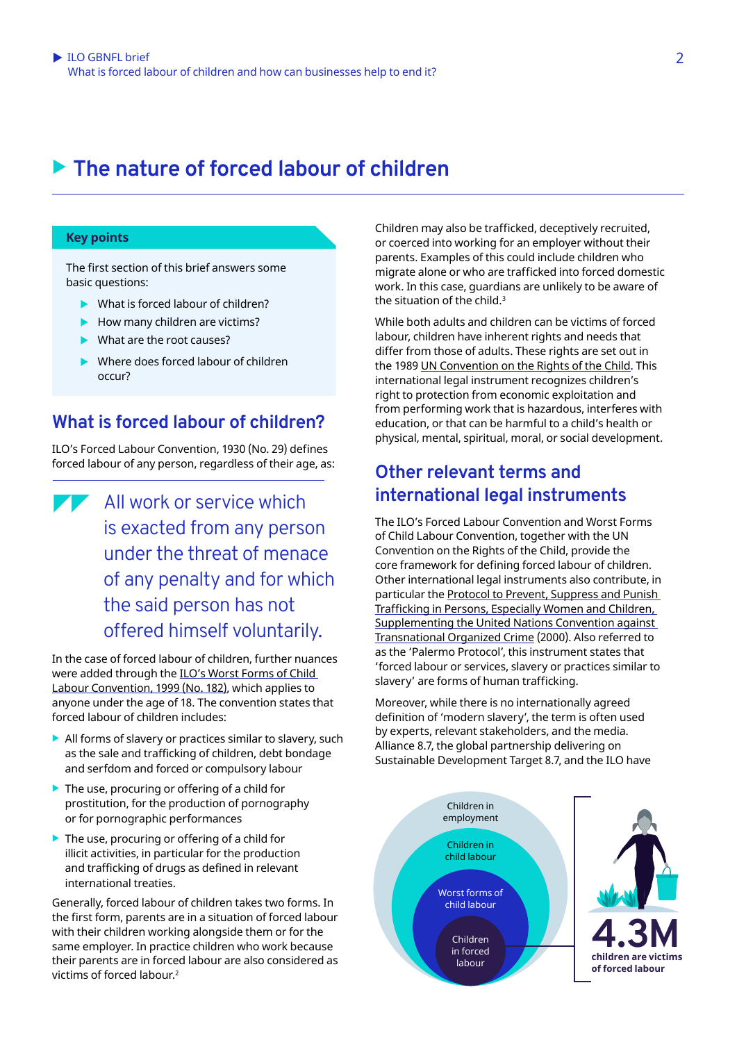# <span id="page-1-0"></span>▶ The nature of forced labour of children

### **Key points**

The first section of this brief answers some basic questions:

- $\blacktriangleright$  What is forced labour of children?
- $\blacktriangleright$  How many children are victims?
- $\blacktriangleright$  What are the root causes?
- $\blacktriangleright$  Where does forced labour of children occur?

### **What is forced labour of children?**

ILO's [Forced Labour Convention, 1930 \(No.](https://www.ilo.org/dyn/normlex/en/f?p=NORMLEXPUB:12100:0::NO::P12100_ILO_CODE:C029) 29) defines forced labour of any person, regardless of their age, as:

All work or service which is exacted from any person under the threat of menace of any penalty and for which the said person has not offered himself voluntarily.

In the case of forced labour of children, further nuances were added through the ILO's [Worst Forms of Child](https://www.ilo.org/dyn/normlex/en/f?p=NORMLEXPUB:12100:0::NO::P12100_ILO_CODE:C182)  [Labour Convention, 1999 \(No.](https://www.ilo.org/dyn/normlex/en/f?p=NORMLEXPUB:12100:0::NO::P12100_ILO_CODE:C182) 182), which applies to anyone under the age of 18. The convention states that forced labour of children includes:

- $\blacktriangleright$  All forms of slavery or practices similar to slavery, such as the sale and trafficking of children, debt bondage and serfdom and forced or compulsory labour
- $\blacktriangleright$  The use, procuring or offering of a child for prostitution, for the production of pornography or for pornographic performances
- $\blacktriangleright$  The use, procuring or offering of a child for illicit activities, in particular for the production and trafficking of drugs as defined in relevant international treaties.

Generally, forced labour of children takes two forms. In the first form, parents are in a situation of forced labour with their children working alongside them or for the same employer. In practice children who work because their parents are in forced labour are also considered as victims of forced labour.[2](#page-9-0)

Children may also be trafficked, deceptively recruited, or coerced into working for an employer without their parents. Examples of this could include children who migrate alone or who are trafficked into forced domestic work. In this case, guardians are unlikely to be aware of the situation of the child. $3$ 

While both adults and children can be victims of forced labour, children have inherent rights and needs that differ from those of adults. These rights are set out in the 1989 [UN Convention on the Rights of the Child](https://www.ohchr.org/en/professionalinterest/pages/crc.aspx). This international legal instrument recognizes children's right to protection from economic exploitation and from performing work that is hazardous, interferes with education, or that can be harmful to a child's health or physical, mental, spiritual, moral, or social development.

### **Other relevant terms and international legal instruments**

The ILO's Forced Labour Convention and Worst Forms of Child Labour Convention, together with the UN Convention on the Rights of the Child, provide the core framework for defining forced labour of children. Other international legal instruments also contribute, in particular the [Protocol to Prevent, Suppress and Punish](https://www.ohchr.org/en/professionalinterest/pages/protocoltraffickinginpersons.aspx)  [Trafficking in Persons, Especially Women and Children,](https://www.ohchr.org/en/professionalinterest/pages/protocoltraffickinginpersons.aspx)  [Supplementing the United Nations Convention against](https://www.ohchr.org/en/professionalinterest/pages/protocoltraffickinginpersons.aspx)  [Transnational Organized Crime](https://www.ohchr.org/en/professionalinterest/pages/protocoltraffickinginpersons.aspx) (2000). Also referred to as the 'Palermo Protocol', this instrument states that 'forced labour or services, slavery or practices similar to slavery' are forms of human trafficking.

Moreover, while there is no internationally agreed definition of 'modern slavery', the term is often used by experts, relevant stakeholders, and the media. Alliance 8.7, the global partnership delivering on Sustainable Development Target 8.7, and the ILO have

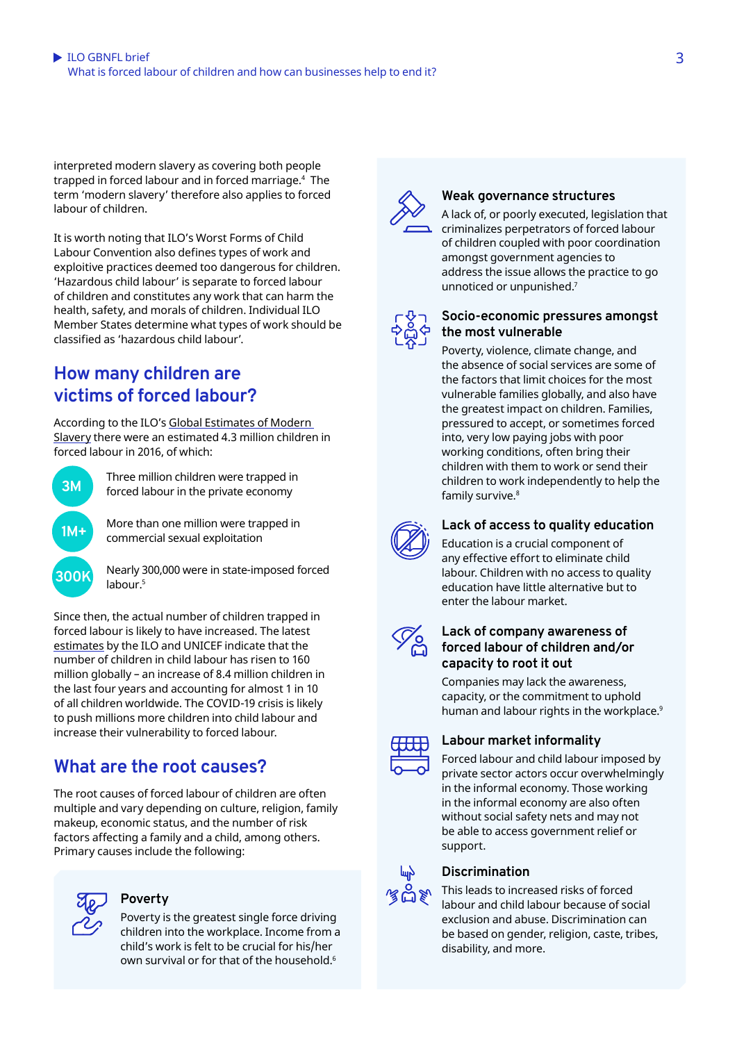<span id="page-2-0"></span>interpreted modern slavery as covering both people trapped in forced labour and in forced marriage.[4](#page-9-0) The term 'modern slavery' therefore also applies to forced labour of children.

It is worth noting that ILO's Worst Forms of Child Labour Convention also defines types of work and exploitive practices deemed too dangerous for children. 'Hazardous child labour' is separate to forced labour of children and constitutes any work that can harm the health, safety, and morals of children. Individual ILO Member States determine what types of work should be classified as 'hazardous child labour'.

### **How many children are victims of forced labour?**

According to the ILO's [Global Estimates of Modern](https://www.ilo.org/wcmsp5/groups/public/---dgreports/---dcomm/documents/publication/wcms_575479.pdf)  [Slavery](https://www.ilo.org/wcmsp5/groups/public/---dgreports/---dcomm/documents/publication/wcms_575479.pdf) there were an estimated 4.3 million children in forced labour in 2016, of which:



Three million children were trapped in forced labour in the private economy

More than one million were trapped in commercial sexual exploitation



Nearly 300,000 were in state-imposed forced labour.[5](#page-9-0)

Since then, the actual number of children trapped in forced labour is likely to have increased. The latest [estimates](https://www.ilo.org/ipec/Informationresources/WCMS_797515/lang--en/index.htm) by the ILO and UNICEF indicate that the number of children in child labour has risen to 160 million globally – an increase of 8.4 million children in the last four years and accounting for almost 1 in 10 of all children worldwide. The COVID-19 crisis is likely to push millions more children into child labour and increase their vulnerability to forced labour.

## **What are the root causes?**

The root causes of forced labour of children are often multiple and vary depending on culture, religion, family makeup, economic status, and the number of risk factors affecting a family and a child, among others. Primary causes include the following:



### **Poverty**

Poverty is the greatest single force driving children into the workplace. Income from a child's work is felt to be crucial for his/her own survival or for that of the household.<sup>[6](#page-9-0)</sup>



### **Weak governance structures**

A lack of, or poorly executed, legislation that criminalizes perpetrators of forced labour of children coupled with poor coordination amongst government agencies to address the issue allows the practice to go unnoticed or unpunished[.7](#page-9-0)



#### **Socio-economic pressures amongst the most vulnerable**

Poverty, violence, climate change, and the absence of social services are some of the factors that limit choices for the most vulnerable families globally, and also have the greatest impact on children. Families, pressured to accept, or sometimes forced into, very low paying jobs with poor working conditions, often bring their children with them to work or send their children to work independently to help the family survive.<sup>[8](#page-9-0)</sup>



### **Lack of access to quality education**

Education is a crucial component of any effective effort to eliminate child labour. Children with no access to quality education have little alternative but to enter the labour market.



### **Lack of company awareness of forced labour of children and/or capacity to root it out**

Companies may lack the awareness, capacity, or the commitment to uphold human and labour rights in the workplace.<sup>9</sup>



### **Labour market informality**

Forced labour and child labour imposed by private sector actors occur overwhelmingly in the informal economy. Those working in the informal economy are also often without social safety nets and may not be able to access government relief or support.



### **Discrimination**

This leads to increased risks of forced labour and child labour because of social exclusion and abuse. Discrimination can be based on gender, religion, caste, tribes, disability, and more.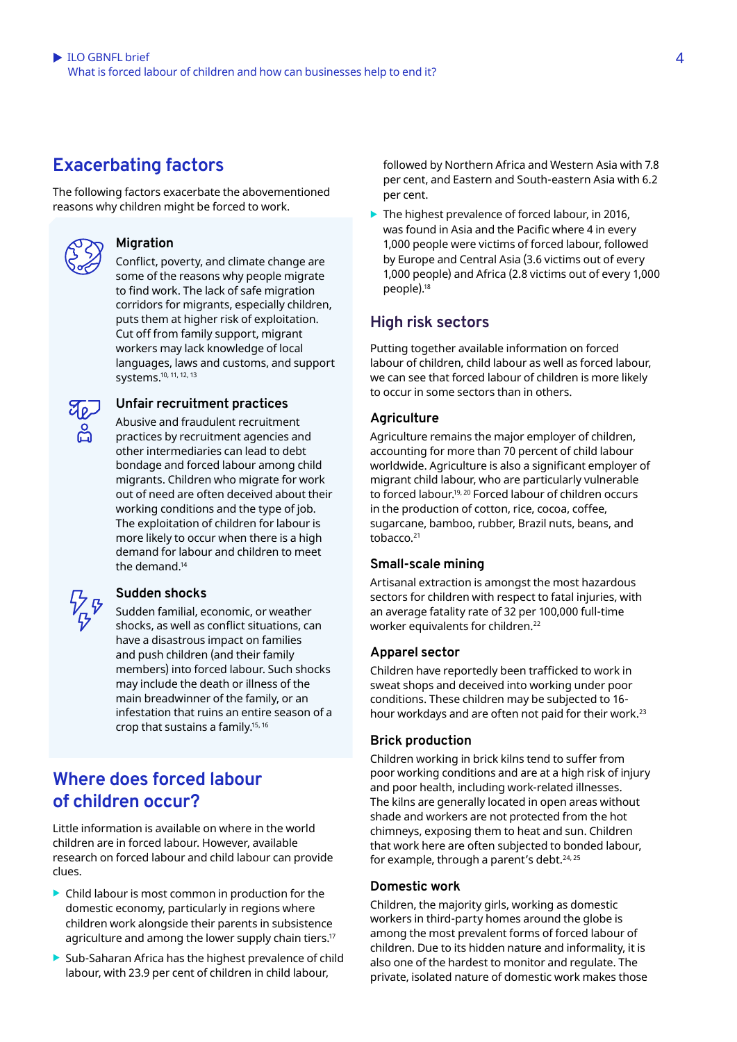# <span id="page-3-0"></span>**Exacerbating factors**

The following factors exacerbate the abovementioned reasons why children might be forced to work.



### **Migration**

Conflict, poverty, and climate change are some of the reasons why people migrate to find work. The lack of safe migration corridors for migrants, especially children, puts them at higher risk of exploitation. Cut off from family support, migrant workers may lack knowledge of local languages, laws and customs, and support systems[.10, 11, 12, 13](#page-9-0)



### **Unfair recruitment practices**

Abusive and fraudulent recruitment practices by recruitment agencies and other intermediaries can lead to debt bondage and forced labour among child migrants. Children who migrate for work out of need are often deceived about their working conditions and the type of job. The exploitation of children for labour is more likely to occur when there is a high demand for labour and children to meet the demand<sup>14</sup>



### **Sudden shocks**

Sudden familial, economic, or weather shocks, as well as conflict situations, can have a disastrous impact on families and push children (and their family members) into forced labour. Such shocks may include the death or illness of the main breadwinner of the family, or an infestation that ruins an entire season of a crop that sustains a family.<sup>15, 16</sup>

### **Where does forced labour of children occur?**

Little information is available on where in the world children are in forced labour. However, available research on forced labour and child labour can provide clues.

- $\blacktriangleright$  Child labour is most common in production for the domestic economy, particularly in regions where children work alongside their parents in subsistence agriculture and among the lower supply chain tiers.<sup>17</sup>
- Sub-Saharan Africa has the highest prevalence of child labour, with 23.9 per cent of children in child labour,

followed by Northern Africa and Western Asia with 7.8 per cent, and Eastern and South-eastern Asia with 6.2 per cent.

 $\blacktriangleright$  The highest prevalence of forced labour, in 2016, was found in Asia and the Pacific where 4 in every 1,000 people were victims of forced labour, followed by Europe and Central Asia (3.6 victims out of every 1,000 people) and Africa (2.8 victims out of every 1,000 people)[.18](#page-9-0)

### **High risk sectors**

Putting together available information on forced labour of children, child labour as well as forced labour, we can see that forced labour of children is more likely to occur in some sectors than in others.

### **Agriculture**

Agriculture remains the major employer of children, accounting for more than 70 percent of child labour worldwide. Agriculture is also a significant employer of migrant child labour, who are particularly vulnerable to forced labour[.19, 20](#page-9-0) Forced labour of children occurs in the production of cotton, rice, cocoa, coffee, sugarcane, bamboo, rubber, Brazil nuts, beans, and tobacco[.21](#page-9-0)

### **Small-scale mining**

Artisanal extraction is amongst the most hazardous sectors for children with respect to fatal injuries, with an average fatality rate of 32 per 100,000 full-time worker equivalents for children.<sup>[22](#page-9-0)</sup>

### **Apparel sector**

Children have reportedly been trafficked to work in sweat shops and deceived into working under poor conditions. These children may be subjected to 16 hour workdays and are often not paid for their work.[23](#page-9-0)

### **Brick production**

Children working in brick kilns tend to suffer from poor working conditions and are at a high risk of injury and poor health, including work-related illnesses. The kilns are generally located in open areas without shade and workers are not protected from the hot chimneys, exposing them to heat and sun. Children that work here are often subjected to bonded labour, for example, through a parent's debt.<sup>[24, 25](#page-9-0)</sup>

### **Domestic work**

Children, the majority girls, working as domestic workers in third-party homes around the globe is among the most prevalent forms of forced labour of children. Due to its hidden nature and informality, it is also one of the hardest to monitor and regulate. The private, isolated nature of domestic work makes those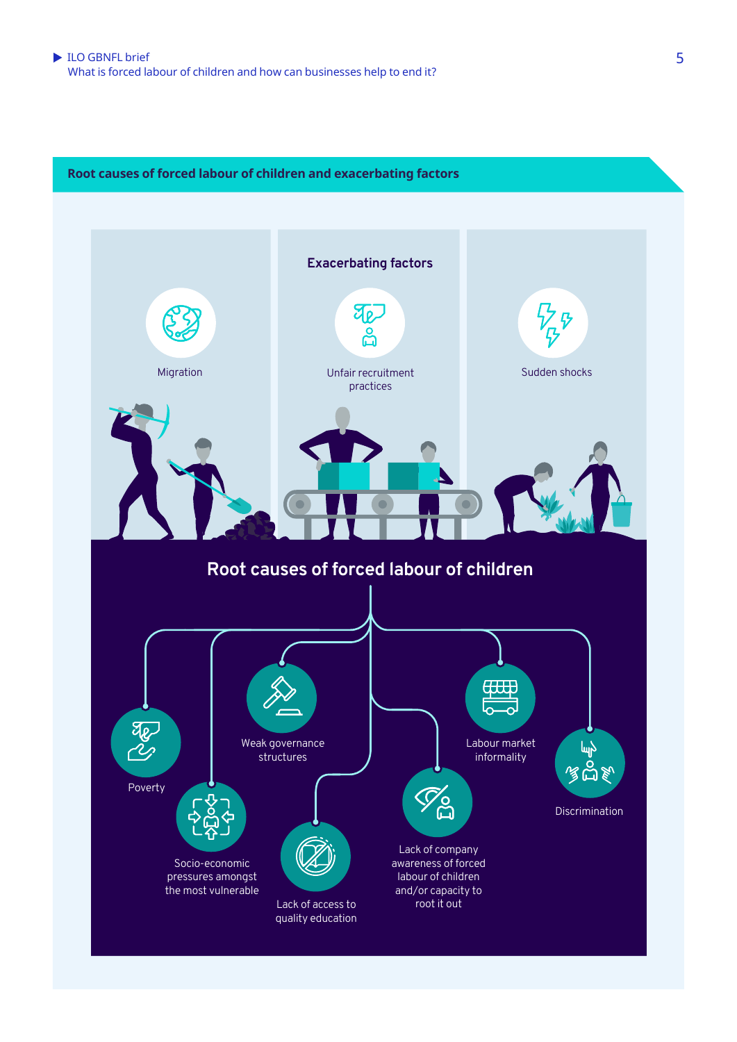

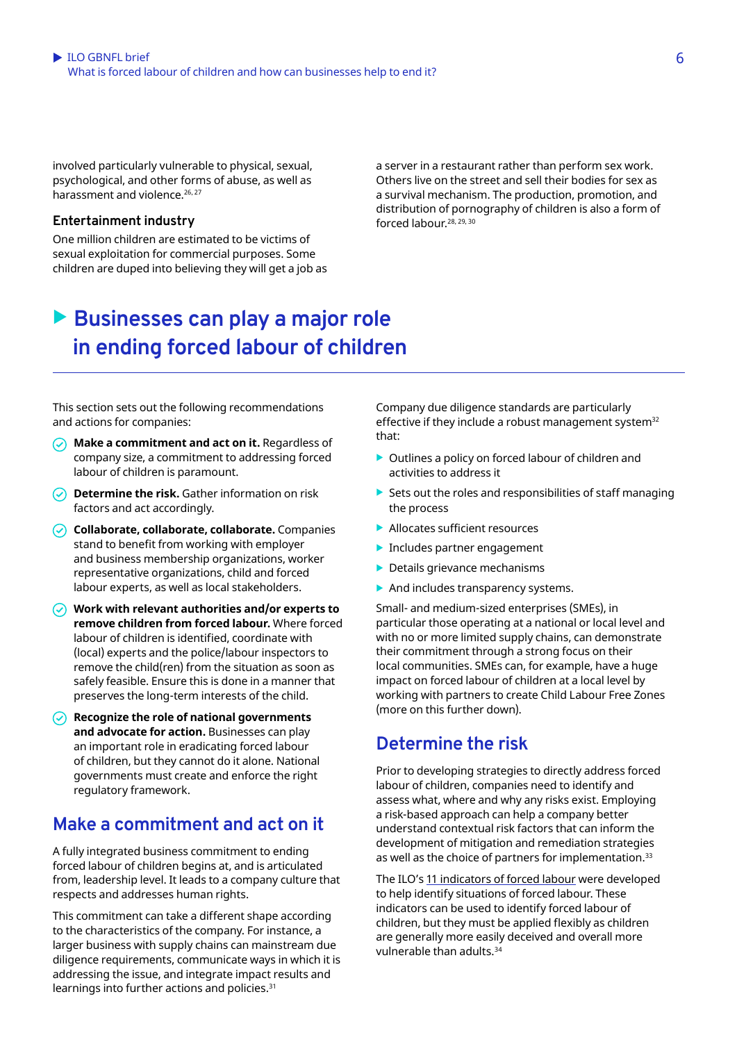<span id="page-5-0"></span>involved particularly vulnerable to physical, sexual, psychological, and other forms of abuse, as well as harassment and violence.<sup>[26, 27](#page-9-0)</sup>

#### **Entertainment industry**

One million children are estimated to be victims of sexual exploitation for commercial purposes. Some children are duped into believing they will get a job as a server in a restaurant rather than perform sex work. Others live on the street and sell their bodies for sex as a survival mechanism. The production, promotion, and distribution of pornography of children is also a form of forced labour.[28, 29, 30](#page-9-0)

# ▶ Businesses can play a major role  **in ending forced labour of children**

This section sets out the following recommendations and actions for companies:

- **Make a commitment and act on it.** Regardless of company size, a commitment to addressing forced labour of children is paramount.
- **Determine the risk.** Gather information on risk factors and act accordingly.
- **Collaborate, collaborate, collaborate.** Companies stand to benefit from working with employer and business membership organizations, worker representative organizations, child and forced labour experts, as well as local stakeholders.
- **Work with relevant authorities and/or experts to remove children from forced labour.** Where forced labour of children is identified, coordinate with (local) experts and the police/labour inspectors to remove the child(ren) from the situation as soon as safely feasible. Ensure this is done in a manner that preserves the long-term interests of the child.
- **Recognize the role of national governments and advocate for action.** Businesses can play an important role in eradicating forced labour of children, but they cannot do it alone. National governments must create and enforce the right regulatory framework.

### **Make a commitment and act on it**

A fully integrated business commitment to ending forced labour of children begins at, and is articulated from, leadership level. It leads to a company culture that respects and addresses human rights.

This commitment can take a different shape according to the characteristics of the company. For instance, a larger business with supply chains can mainstream due diligence requirements, communicate ways in which it is addressing the issue, and integrate impact results and learnings into further actions and policies[.31](#page-10-0)

Company due diligence standards are particularly effective if they include a robust management system<sup>[32](#page-10-0)</sup> that:

- $\triangleright$  Outlines a policy on forced labour of children and activities to address it
- $\blacktriangleright$  Sets out the roles and responsibilities of staff managing the process
- $\blacktriangleright$  Allocates sufficient resources
- $\blacktriangleright$  Includes partner engagement
- $\blacktriangleright$  Details grievance mechanisms
- $\blacktriangleright$  And includes transparency systems.

Small- and medium-sized enterprises (SMEs), in particular those operating at a national or local level and with no or more limited supply chains, can demonstrate their commitment through a strong focus on their local communities. SMEs can, for example, have a huge impact on forced labour of children at a local level by working with partners to create [Child Labour Free Zone](https://stopchildlabour.org/child-labour-free-zones/)s (more on this further down).

### **Determine the risk**

Prior to developing strategies to directly address forced labour of children, companies need to identify and assess what, where and why any risks exist. Employing a risk-based approach can help a company better understand contextual risk factors that can inform the development of mitigation and remediation strategies as well as the choice of partners for implementation.<sup>33</sup>

The ILO's [11 indicators of forced labour](https://flbusiness.network/library/ilo-gbnfl-online-training-course-the-ilos-11-indicators-of-forced-labour/) were developed to help identify situations of forced labour. These indicators can be used to identify forced labour of children, but they must be applied flexibly as children are generally more easily deceived and overall more vulnerable than adults.<sup>34</sup>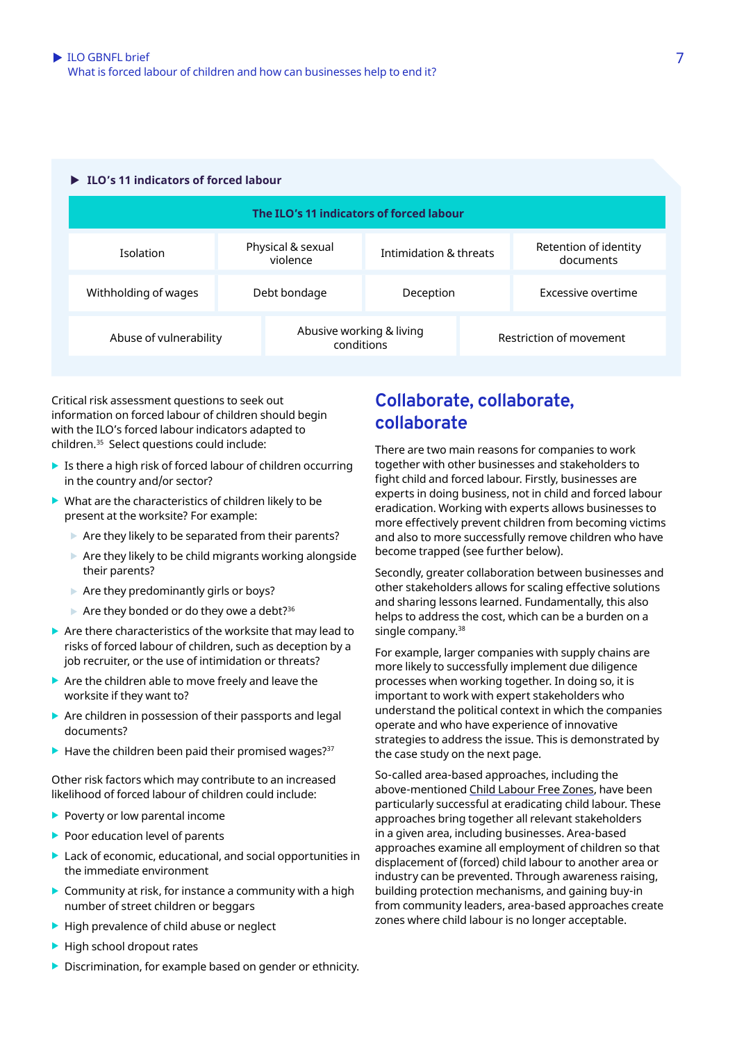#### <span id="page-6-0"></span>▶ ILO's 11 indicators of forced labour

| The ILO's 11 indicators of forced labour |                               |                                        |                        |                         |                                    |
|------------------------------------------|-------------------------------|----------------------------------------|------------------------|-------------------------|------------------------------------|
| <b>Isolation</b>                         | Physical & sexual<br>violence |                                        | Intimidation & threats |                         | Retention of identity<br>documents |
| Withholding of wages                     | Debt bondage                  |                                        | Deception              |                         | Excessive overtime                 |
| Abuse of vulnerability                   |                               | Abusive working & living<br>conditions |                        | Restriction of movement |                                    |

Critical risk assessment questions to seek out information on forced labour of children should begin with the ILO's forced labour indicators adapted to children.[35](#page-10-0) Select questions could include:

- $\blacktriangleright$  Is there a high risk of forced labour of children occurring in the country and/or sector?
- $\blacktriangleright$  What are the characteristics of children likely to be present at the worksite? For example:
	- $\blacktriangleright$  Are they likely to be separated from their parents?
	- $\triangleright$  Are they likely to be child migrants working alongside their parents?
	- $\blacktriangleright$  Are they predominantly girls or boys?
	- $\blacktriangleright$  Are they bonded or do they owe a debt?<sup>36</sup>
- $\triangleright$  Are there characteristics of the worksite that may lead to risks of forced labour of children, such as deception by a job recruiter, or the use of intimidation or threats?
- $\blacktriangleright$  Are the children able to move freely and leave the worksite if they want to?
- $\triangleright$  Are children in possession of their passports and legal documents?
- $\blacktriangleright$  Have the children been paid their promised wages?<sup>37</sup>

Other risk factors which may contribute to an increased likelihood of forced labour of children could include:

- $\blacktriangleright$  Poverty or low parental income
- $\blacktriangleright$  Poor education level of parents
- $\blacktriangleright$  Lack of economic, educational, and social opportunities in the immediate environment
- $\triangleright$  Community at risk, for instance a community with a high number of street children or beggars
- $\blacktriangleright$  High prevalence of child abuse or neglect
- $\blacktriangleright$  High school dropout rates
- $\blacktriangleright$  Discrimination, for example based on gender or ethnicity.

### **Collaborate, collaborate, collaborate**

There are two main reasons for companies to work together with other businesses and stakeholders to fight child and forced labour. Firstly, businesses are experts in doing business, not in child and forced labour eradication. Working with experts allows businesses to more effectively prevent children from becoming victims and also to more successfully remove children who have become trapped (see further below).

Secondly, greater collaboration between businesses and other stakeholders allows for scaling effective solutions and sharing lessons learned. Fundamentally, this also helps to address the cost, which can be a burden on a single company.<sup>38</sup>

For example, larger companies with supply chains are more likely to successfully implement due diligence processes when working together. In doing so, it is important to work with expert stakeholders who understand the political context in which the companies operate and who have experience of innovative strategies to address the issue. This is demonstrated by the case study on the next page.

So-called area-based approaches, including the above-mentioned [Child Labour Free Zones](https://stopchildlabour.org/child-labour-free-zones/), have been particularly successful at eradicating child labour. These approaches bring together all relevant stakeholders in a given area, including businesses. Area-based approaches examine all employment of children so that displacement of (forced) child labour to another area or industry can be prevented. Through awareness raising, building protection mechanisms, and gaining buy-in from community leaders, area-based approaches create zones where child labour is no longer acceptable.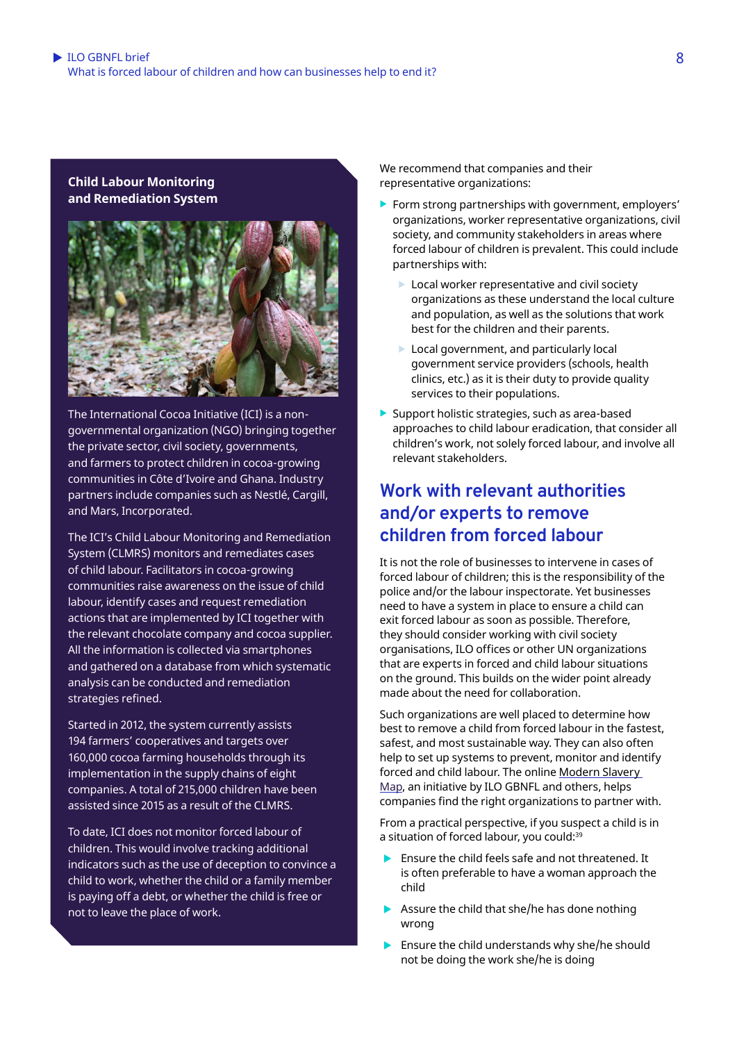<span id="page-7-0"></span>**Child Labour Monitoring and Remediation System**



The International Cocoa Initiative (ICI) is a nongovernmental organization (NGO) bringing together the private sector, civil society, governments, and farmers to protect children in cocoa-growing communities in Côte d'Ivoire and Ghana. Industry partners include companies such as Nestlé, Cargill, and Mars, Incorporated.

The ICI's Child Labour Monitoring and Remediation System (CLMRS) monitors and remediates cases of child labour. Facilitators in cocoa-growing communities raise awareness on the issue of child labour, identify cases and request remediation actions that are implemented by ICI together with the relevant chocolate company and cocoa supplier. All the information is collected via smartphones and gathered on a database from which systematic analysis can be conducted and remediation strategies refined.

Started in 2012, the system currently assists 194 farmers' cooperatives and targets over 160,000 cocoa farming households through its implementation in the supply chains of eight companies. A total of 215,000 children have been assisted since 2015 as a result of the CLMRS.

To date, ICI does not monitor forced labour of children. This would involve tracking additional indicators such as the use of deception to convince a child to work, whether the child or a family member is paying off a debt, or whether the child is free or not to leave the place of work.

We recommend that companies and their representative organizations:

- $\blacktriangleright$  Form strong partnerships with government, employers' organizations, worker representative organizations, civil society, and community stakeholders in areas where forced labour of children is prevalent. This could include partnerships with:
	- $\blacktriangleright$  Local worker representative and civil society organizations as these understand the local culture and population, as well as the solutions that work best for the children and their parents.
	- $\blacktriangleright$  Local government, and particularly local government service providers (schools, health clinics, etc.) as it is their duty to provide quality services to their populations.
- $\blacktriangleright$  Support holistic strategies, such as area-based approaches to child labour eradication, that consider all children's work, not solely forced labour, and involve all relevant stakeholders.

### **Work with relevant authorities and/or experts to remove children from forced labour**

It is not the role of businesses to intervene in cases of forced labour of children; this is the responsibility of the police and/or the labour inspectorate. Yet businesses need to have a system in place to ensure a child can exit forced labour as soon as possible. Therefore, they should consider working with civil society organisations, ILO offices or other UN organizations that are experts in forced and child labour situations on the ground. This builds on the wider point already made about the need for collaboration.

Such organizations are well placed to determine how best to remove a child from forced labour in the fastest, safest, and most sustainable way. They can also often help to set up systems to prevent, monitor and identify forced and child labour. The online Modern Slavery [Map](https://www.modernslaverymap.org/), an initiative by ILO GBNFL and others, helps companies find the right organizations to partner with.

From a practical perspective, if you suspect a child is in a situation of forced labour, you could:<sup>39</sup>

- $\blacktriangleright$  Ensure the child feels safe and not threatened. It is often preferable to have a woman approach the child
- $\blacktriangleright$  Assure the child that she/he has done nothing wrong
- $\blacktriangleright$  Ensure the child understands why she/he should not be doing the work she/he is doing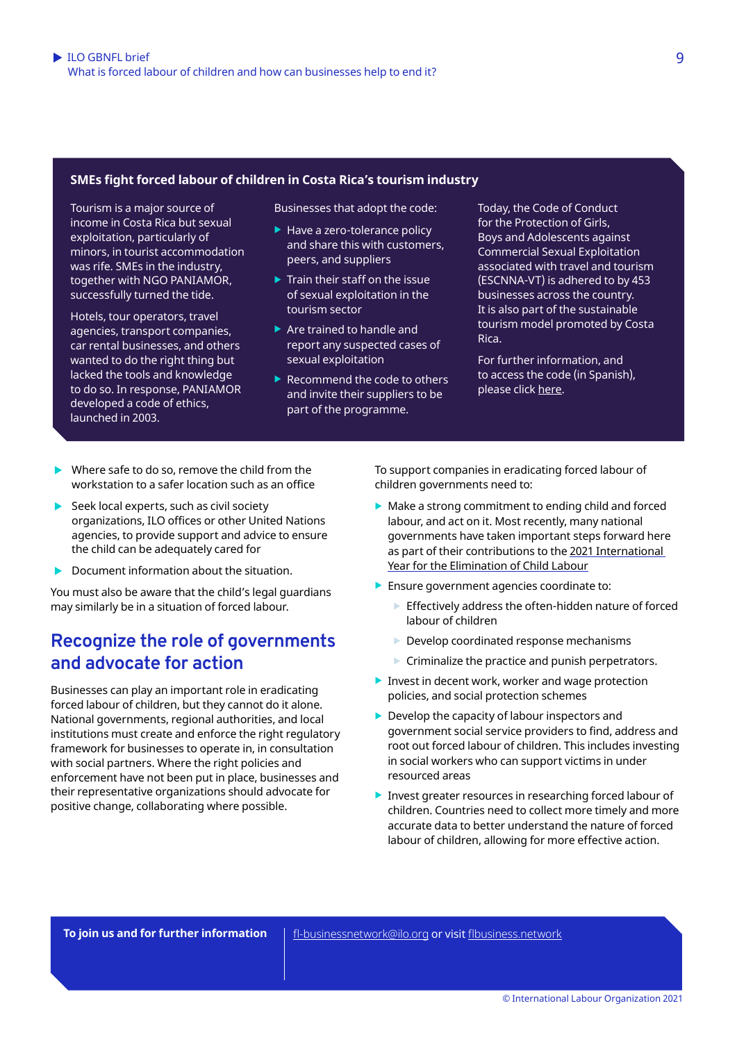#### **SMEs fight forced labour of children in Costa Rica's tourism industry**

Tourism is a major source of income in Costa Rica but sexual exploitation, particularly of minors, in tourist accommodation was rife. SMEs in the industry, together with NGO PANIAMOR, successfully turned the tide.

Hotels, tour operators, travel agencies, transport companies, car rental businesses, and others wanted to do the right thing but lacked the tools and knowledge to do so. In response, PANIAMOR developed a code of ethics, launched in 2003.

Businesses that adopt the code:

- $\blacktriangleright$  Have a zero-tolerance policy and share this with customers, peers, and suppliers
- $\blacktriangleright$  Train their staff on the issue of sexual exploitation in the tourism sector
- $\blacktriangleright$  Are trained to handle and report any suspected cases of sexual exploitation
- $\blacktriangleright$  Recommend the code to others and invite their suppliers to be part of the programme.

Today, the Code of Conduct for the Protection of Girls, Boys and Adolescents against Commercial Sexual Exploitation associated with travel and tourism (ESCNNA-VT) is adhered to by 453 businesses across the country. It is also part of the sustainable tourism model promoted by Costa Rica.

For further information, and to access the code (in Spanish), please click [here.](https://paniamor.org/Product/detail/7/programa-codigo-de-conducta-) 

- $\blacktriangleright$  Where safe to do so, remove the child from the workstation to a safer location such as an office
- $\blacktriangleright$  Seek local experts, such as civil society organizations, ILO offices or other United Nations agencies, to provide support and advice to ensure the child can be adequately cared for
- Document information about the situation.

You must also be aware that the child's legal guardians may similarly be in a situation of forced labour.

### **Recognize the role of governments and advocate for action**

Businesses can play an important role in eradicating forced labour of children, but they cannot do it alone. National governments, regional authorities, and local institutions must create and enforce the right regulatory framework for businesses to operate in, in consultation with social partners. Where the right policies and enforcement have not been put in place, businesses and their representative organizations should advocate for positive change, collaborating where possible.

To support companies in eradicating forced labour of children governments need to:

- $\blacktriangleright$  Make a strong commitment to ending child and forced labour, and act on it. Most recently, many national governments have taken important steps forward here as part of their contributions to the [2021 International](https://endchildlabour2021.org/)  [Year for the Elimination of Child](https://endchildlabour2021.org/) Labour
- $\blacktriangleright$  Ensure government agencies coordinate to:
	- $\blacktriangleright$  Effectively address the often-hidden nature of forced labour of children
	- $\blacktriangleright$  Develop coordinated response mechanisms
	- $\triangleright$  Criminalize the practice and punish perpetrators.
- $\blacktriangleright$  Invest in decent work, worker and wage protection policies, and social protection schemes
- $\blacktriangleright$  Develop the capacity of labour inspectors and government social service providers to find, address and root out forced labour of children. This includes investing in social workers who can support victims in under resourced areas
- $\blacktriangleright$  Invest greater resources in researching forced labour of children. Countries need to collect more timely and more accurate data to better understand the nature of forced labour of children, allowing for more effective action.

[fl-businessnetwork@ilo.org](mailto:lfl-businessnetwork@ilo.org) or visit [flbusiness.network](https://flbusiness.network/) **To join us and for further information**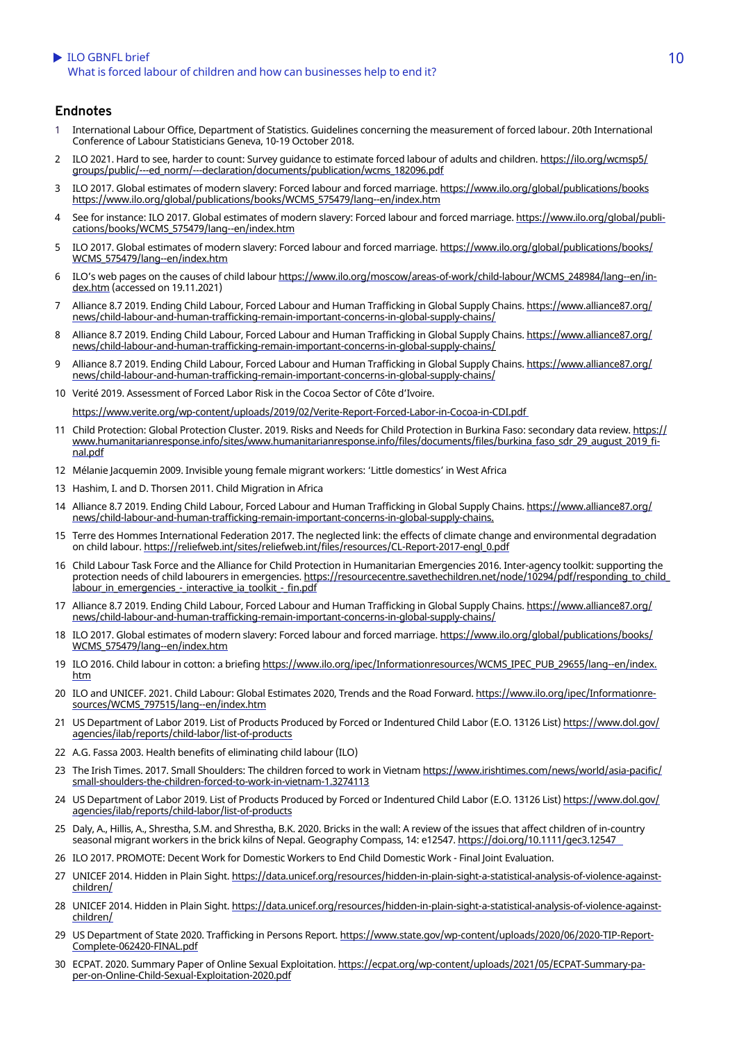#### <span id="page-9-0"></span>ILO GBNFL brief 2001 10 and 2001 10 and 2008 10 and 2008 10 and 2008 10 and 2008 10 and 2008 10 and 2008 10 and 2008 10 and 2008 10 and 2008 10 and 2008 10 and 2008 10 and 2008 10 and 2008 10 and 2008 10 and 2008 10 and 20 What is forced labour of children and how can businesses help to end it?

#### **Endnotes**

- [1](#page-0-0) International Labour Office, Department of Statistics. Guidelines concerning the measurement of forced labour. 20th International Conference of Labour Statisticians Geneva, 10-19 October 2018.
- [2](#page-1-0) ILO 2021. Hard to see, harder to count: Survey quidance to estimate forced labour of adults and children. [https://ilo.org/wcmsp5/](https://ilo.org/wcmsp5/groups/public/---ed_norm/---declaration/documents/publication/wcms_182096.pdf) [groups/public/---ed\\_norm/---declaration/documents/publication/wcms\\_182096.pdf](https://ilo.org/wcmsp5/groups/public/---ed_norm/---declaration/documents/publication/wcms_182096.pdf)
- [3](#page-1-0) ILO 2017. Global estimates of modern slavery: Forced labour and forced marriage. [https://www.ilo.org/global/publications/books](https://www.ilo.org/global/publications/books/WCMS_575479/lang--en/index.htm) https://www.ilo.org/global/publications/books/WCMS\_575479/lang--en/index.htm
- [4](#page-2-0) See for instance: ILO 2017. Global estimates of modern slavery: Forced labour and forced marriage. [https://www.ilo.org/global/publi](https://www.ilo.org/global/publications/books/WCMS_575479/lang--en/index.htm)[cations/books/WCMS\\_575479/lang--en/index.htm](https://www.ilo.org/global/publications/books/WCMS_575479/lang--en/index.htm)
- [5](#page-2-0) ILO 2017. Global estimates of modern slavery: Forced labour and forced marriage. [https://www.ilo.org/global/publications/books/](https://www.ilo.org/global/publications/books/WCMS_575479/lang--en/index.htm) [WCMS\\_575479/lang--en/index.htm](https://www.ilo.org/global/publications/books/WCMS_575479/lang--en/index.htm)
- [6](#page-2-0) ILO's web pages on the causes of child labour [https://www.ilo.org/moscow/areas-of-work/child-labour/WCMS\\_248984/lang--en/in](https://www.ilo.org/moscow/areas-of-work/child-labour/WCMS_248984/lang--en/index.htm)[dex.htm](https://www.ilo.org/moscow/areas-of-work/child-labour/WCMS_248984/lang--en/index.htm) (accessed on 19.11.2021)
- [7](#page-2-0) Alliance 8.7 2019. Ending Child Labour, Forced Labour and Human Trafficking in Global Supply Chains. [https://www.alliance87.org/](https://www.alliance87.org/news/child-labour-and-human-trafficking-remain-important-concerns-in-global-supply-chains/) [news/child-labour-and-human-trafficking-remain-important-concerns-in-global-supply-chains/](https://www.alliance87.org/news/child-labour-and-human-trafficking-remain-important-concerns-in-global-supply-chains/)
- [8](#page-2-0) Alliance 8.7 2019. Ending Child Labour, Forced Labour and Human Trafficking in Global Supply Chains. [https://www.alliance87.org/](https://www.alliance87.org/news/child-labour-and-human-trafficking-remain-important-concerns-in-global-supply-chains/) [news/child-](https://www.alliance87.org/news/child-labour-and-human-trafficking-remain-important-concerns-in-global-supply-chains/)[labour-and-human-trafficking-remain-important-concerns-in-global-supply-chains](https://www.alliance87.org/news/child-labour-and-human-trafficking-remain-important-concerns-in-global-supply-chains/)/
- [9](#page-2-0) Alliance 8.7 2019. Ending Child Labour, Forced Labour and Human Trafficking in Global Supply Chains. [https://www.alliance87.org/](https://www.alliance87.org/news/child-labour-and-human-trafficking-remain-important-concerns-in-global-supply-chains/) [news/child-la](https://www.alliance87.org/news/child-labour-and-human-trafficking-remain-important-concerns-in-global-supply-chains/)[bour-and-human-trafficking-remain-important-concerns-in-global-supply-chains/](https://www.alliance87.org/news/child-labour-and-human-trafficking-remain-important-concerns-in-global-supply-chains/)
- [10](#page-3-0) Verité 2019. Assessment of Forced Labor Risk in the Cocoa Sector of Côte d'Ivoire.

<https://www.verite.org/wp-content/uploads/2019/02/Verite-Report-Forced-Labor-in-Cocoa-in-CDI.pdf>

- [11](#page-3-0) Child Protection: Global Protection Cluster. 2019. Risks and Needs for Child Protection in Burkina Faso: secondary data review. [https://](https://www.humanitarianresponse.info/sites/www.humanitarianresponse.info/files/documents/files/burkina_faso_sdr_29_august_2019_final.pdf) [www.](https://www.humanitarianresponse.info/sites/www.humanitarianresponse.info/files/documents/files/burkina_faso_sdr_29_august_2019_final.pdf)[humanitarianresponse.info/sites/www.humanitarianresponse.info/files/documents/files/burkina\\_faso\\_sdr\\_29\\_august\\_2019\\_fi](https://www.humanitarianresponse.info/sites/www.humanitarianresponse.info/files/documents/files/burkina_faso_sdr_29_august_2019_final.pdf)[nal.pd](https://www.humanitarianresponse.info/sites/www.humanitarianresponse.info/files/documents/files/burkina_faso_sdr_29_august_2019_final.pdf)f
- [12](#page-3-0) Mélanie Jacquemin 2009. Invisible young female migrant workers: 'Little domestics' in West Africa
- [13](#page-3-0) Hashim, I. and D. Thorsen 2011. Child Migration in Africa
- [14](#page-3-0) Alliance 8.7 2019. Ending Child Labour, Forced Labour and Human Trafficking in Global Supply Chains. [https://www.alliance87.org/](https://www.alliance87.org/news/child-labour-and-human-trafficking-remain-important-concerns-in-global-supply-chains/) [news/child-](https://www.alliance87.org/news/child-labour-and-human-trafficking-remain-important-concerns-in-global-supply-chains/)[labour-and-human-trafficking-remain-important-concerns-in-global-supply-chains](https://www.alliance87.org/news/child-labour-and-human-trafficking-remain-important-concerns-in-global-supply-chains/).
- [15](#page-3-0) Terre des Hommes International Federation 2017. The neglected link: the effects of climate change and environmental degradation on child labour. [https://reliefweb.int/sites/reliefweb.int/files/resources/CL-Report-2017-engl\\_0.pdf](https://reliefweb.int/sites/reliefweb.int/files/resources/CL-Report-2017-engl_0.pdf)
- [16](#page-3-0) Child Labour Task Force and the Alliance for Child Protection in Humanitarian Emergencies 2016. Inter-agency toolkit: supporting the protection needs of child labourers in emergencies. [https://resourcecentre.savethechildren.net/node/10294/pdf/responding\\_to\\_child\\_](https://resourcecentre.savethechildren.net/node/10294/pdf/responding_to_child_labour_in_emergencies_-_interactive_ia_toolkit_-_fin.pdf) [labour\\_in\\_emergencies\\_-\\_interac](https://resourcecentre.savethechildren.net/node/10294/pdf/responding_to_child_labour_in_emergencies_-_interactive_ia_toolkit_-_fin.pdf)[tive\\_ia\\_toolkit\\_-\\_fin.pdf](https://resourcecentre.savethechildren.net/node/10294/pdf/responding_to_child_labour_in_emergencies_-_interactive_ia_toolkit_-_fin.pdf)
- [17](#page-3-0) Alliance 8.7 2019. Ending Child Labour, Forced Labour and Human Trafficking in Global Supply Chains. [https://www.alliance87.org/](https://www.alliance87.org/news/child-labour-and-human-trafficking-remain-important-concerns-in-global-supply-chains/) [news/child-](https://www.alliance87.org/news/child-labour-and-human-trafficking-remain-important-concerns-in-global-supply-chains/)[labour-and-human-trafficking-remain-important-concerns-in-global-supply-chains/](https://www.alliance87.org/news/child-labour-and-human-trafficking-remain-important-concerns-in-global-supply-chains/)
- [18](#page-3-0) ILO 2017. Global estimates of modern slavery: Forced labour and forced marriage. [https://www.ilo.org/global/publications/books/](https://www.ilo.org/global/publications/books/WCMS_575479/lang--en/index.htm) [WCMS\\_575479/lang--en/index.htm](https://www.ilo.org/global/publications/books/WCMS_575479/lang--en/index.htm)
- [19](#page-3-0) ILO 2016. Child labour in cotton: a briefing [https://www.ilo.org/ipec/Informationresources/WCMS\\_IPEC\\_PUB\\_29655/lang--en/index.](https://www.ilo.org/ipec/Informationresources/WCMS_IPEC_PUB_29655/lang--en/index.htm) [htm](https://www.ilo.org/ipec/Informationresources/WCMS_IPEC_PUB_29655/lang--en/index.htm)
- [20](#page-3-0) ILO and UNICEF. 2021. Child Labour: Global Estimates 2020, Trends and the Road Forward. [https://www.ilo.org/ipec/Informationre](https://www.ilo.org/ipec/Informationresources/WCMS_797515/lang--en/index.htm)[sources/WCMS\\_797515/lang--en/index.htm](https://www.ilo.org/ipec/Informationresources/WCMS_797515/lang--en/index.htm)
- [21](#page-3-0) US Department of Labor 2019. List of Products Produced by Forced or Indentured Child Labor (E.O. 13126 List) [https://www.dol.gov/](https://www.dol.gov/agencies/ilab/reports/child-labor/list-of-products) [agencies/ilab/reports/child-labor/list-of-products](https://www.dol.gov/agencies/ilab/reports/child-labor/list-of-products)
- [22](#page-3-0) A.G. Fassa 2003. Health benefits of eliminating child labour (ILO)
- [23](#page-3-0) The Irish Times. 2017. Small Shoulders: The children forced to work in Vietnam https://www.irishtimes.com/news/world/asia-pacific/ small-shoulders-the-children-forced-to-work-in-vietnam-1.3274113
- [24](#page-3-0) US Department of Labor 2019. List of Products Produced by Forced or Indentured Child Labor (E.O. 13126 List) [https://www.dol.gov/](https://www.dol.gov/agencies/ilab/reports/child-labor/list-of-products) [agencies/ilab/reports/child-labor/list-of-products](https://www.dol.gov/agencies/ilab/reports/child-labor/list-of-products)
- [25](#page-3-0) Daly, A., Hillis, A., Shrestha, S.M. and Shrestha, B.K. 2020. Bricks in the wall: A review of the issues that affect children of in-country seasonal migrant workers in the brick kilns of Nepal. Geography Compass, 14: e12547. <https://doi.org/10.1111/gec3.12547>
- [26](#page-5-0) ILO 2017. PROMOTE: Decent Work for Domestic Workers to End Child Domestic Work Final Joint Evaluation.
- [27](#page-5-0) UNICEF 2014. Hidden in Plain Sight. [https://data.unicef.org/resources/hidden-in-plain-sight-a-statistical-analysis-of-violence-against](https://data.unicef.org/resources/hidden-in-plain-sight-a-statistical-analysis-of-violence-against-children/)[children/](https://data.unicef.org/resources/hidden-in-plain-sight-a-statistical-analysis-of-violence-against-children/)
- [28](#page-5-0) UNICEF 2014. Hidden in Plain Sight. [https://data.unicef.org/resources/hidden-in-plain-sight-a-statistical-analysis-of-violence-against](https://data.unicef.org/resources/hidden-in-plain-sight-a-statistical-analysis-of-violence-against-children/)[children/](https://data.unicef.org/resources/hidden-in-plain-sight-a-statistical-analysis-of-violence-against-children/)
- [29](#page-5-0) US Department of State 2020. Trafficking in Persons Report. [https://www.state.gov/wp-content/uploads/2020/06/2020-TIP-Report-](https://www.state.gov/wp-content/uploads/2020/06/2020-TIP-Report-Complete-062420-FINAL.pdf)[Complete-062420-FINAL.pdf](https://www.state.gov/wp-content/uploads/2020/06/2020-TIP-Report-Complete-062420-FINAL.pdf)
- [30](#page-5-0) ECPAT. 2020. Summary Paper of Online Sexual Exploitation. [https://ecpat.org/wp-content/uploads/2021/05/ECPAT-Summary-pa](https://ecpat.org/wp-content/uploads/2021/05/ECPAT-Summary-paper-on-Online-Child-Sexual-Exploitation-2020.pdf)[per-on-Online-Child-Sexual-Exploitation-2020.pdf](https://ecpat.org/wp-content/uploads/2021/05/ECPAT-Summary-paper-on-Online-Child-Sexual-Exploitation-2020.pdf)